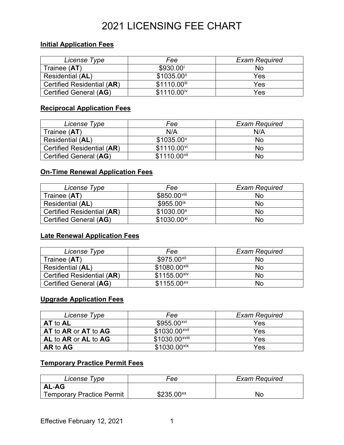# 2021 LICENSING FEE CHART

### **Initial Application Fees**

| License Type               | Fee                     | <b>Exam Required</b> |
|----------------------------|-------------------------|----------------------|
| Trainee (AT)               | \$930.00 <sup>i</sup>   | No                   |
| Residential (AL)           | \$1035.00 <sup>ii</sup> | Yes                  |
| Certified Residential (AR) | \$1110.00iii            | Yes                  |
| Certified General (AG)     | \$1110.00 <sup>iv</sup> | Yes                  |

#### **Reciprocal Application Fees**

| License Type               | Fee                       | <b>Exam Required</b> |
|----------------------------|---------------------------|----------------------|
| Trainee (AT)               | N/A                       | N/A                  |
| Residential (AL)           | $$1035.00$ <sup>v</sup>   | No                   |
| Certified Residential (AR) | $$1110.00$ <sup>vi</sup>  | No                   |
| Certified General (AG)     | $$1110.00$ <sup>vii</sup> | No                   |

### **On-Time Renewal Application Fees**

| License Type               | Fee                     | <b>Exam Required</b> |
|----------------------------|-------------------------|----------------------|
| Trainee (AT)               | \$850.00viii            | No                   |
| Residential (AL)           | \$955.00 <sup>ix</sup>  | No                   |
| Certified Residential (AR) | $$1030.00^{\circ}$$     | No                   |
| Certified General (AG)     | \$1030.00 <sup>xi</sup> | No                   |

#### **Late Renewal Application Fees**

| License Type               | Fee                       | <b>Exam Required</b> |
|----------------------------|---------------------------|----------------------|
| Trainee (AT)               | \$975.00 <sup>xii</sup>   | No                   |
| Residential (AL)           | \$1080.00 <sup>xiii</sup> | No                   |
| Certified Residential (AR) | $$1155.00$ <sup>xiv</sup> | No                   |
| Certified General (AG)     | \$1155.00 <sup>xv</sup>   | No                   |

#### **Upgrade Application Fees**

| License Type         | Fee                        | <b>Exam Required</b> |
|----------------------|----------------------------|----------------------|
| AT to AL             | \$955.00 <sup>xvi</sup>    | Yes                  |
| AT to AR or AT to AG | \$1030.00 <sup>xvii</sup>  | Yes                  |
| AL to AR or AL to AG | \$1030.00 <sup>xviii</sup> | Yes                  |
| AR to AG             | \$1030.00 <sup>xix</sup>   | Yes                  |

## **Temporary Practice Permit Fees**

| License Type                     | Fee                    | <b>Exam Required</b> |
|----------------------------------|------------------------|----------------------|
| <b>AL-AG</b>                     |                        |                      |
| <b>Temporary Practice Permit</b> | \$235.00 <sup>xx</sup> | No                   |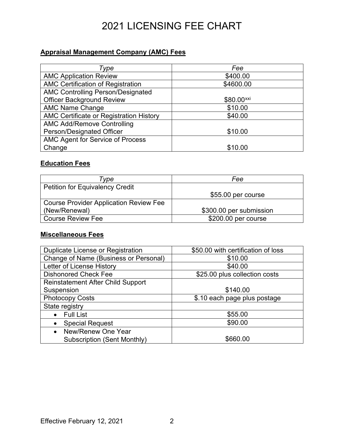# 2021 LICENSING FEE CHART

## **Appraisal Management Company (AMC) Fees**

| Type                                     | Fee        |
|------------------------------------------|------------|
| <b>AMC Application Review</b>            | \$400.00   |
| <b>AMC Certification of Registration</b> | \$4600.00  |
| <b>AMC Controlling Person/Designated</b> |            |
| <b>Officer Background Review</b>         | \$80.00××i |
| <b>AMC Name Change</b>                   | \$10.00    |
| AMC Certificate or Registration History  | \$40.00    |
| <b>AMC Add/Remove Controlling</b>        |            |
| Person/Designated Officer                | \$10.00    |
| AMC Agent for Service of Process         |            |
| Change                                   | \$10.00    |

## **Education Fees**

| Tvpe                                          | Fee                     |
|-----------------------------------------------|-------------------------|
| <b>Petition for Equivalency Credit</b>        |                         |
|                                               | \$55.00 per course      |
| <b>Course Provider Application Review Fee</b> |                         |
| (New/Renewal)                                 | \$300.00 per submission |
| <b>Course Review Fee</b>                      | \$200.00 per course     |

## **Miscellaneous Fees**

| Duplicate License or Registration        | \$50.00 with certification of loss |
|------------------------------------------|------------------------------------|
| Change of Name (Business or Personal)    | \$10.00                            |
| Letter of License History                | \$40.00                            |
| <b>Dishonored Check Fee</b>              | \$25.00 plus collection costs      |
| <b>Reinstatement After Child Support</b> |                                    |
| Suspension                               | \$140.00                           |
| <b>Photocopy Costs</b>                   | \$.10 each page plus postage       |
| State registry                           |                                    |
| <b>Full List</b>                         | \$55.00                            |
| <b>Special Request</b><br>$\bullet$      | \$90.00                            |
| New/Renew One Year<br>$\bullet$          |                                    |
| Subscription (Sent Monthly)              | \$660.00                           |